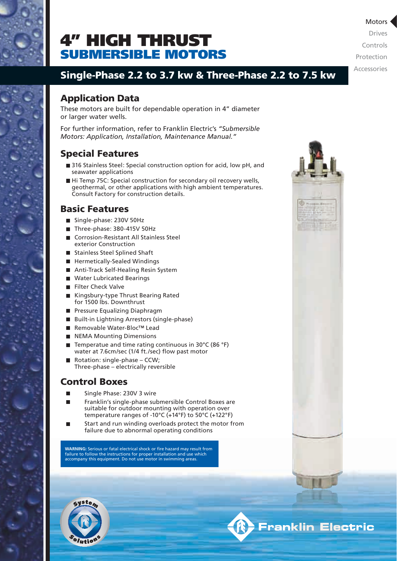

# SUBMERSIBLE MOTORS 4" HIGH THRUST

**Motors** Drives Controls Protection Accessories

## Single-Phase 2.2 to 3.7 kw & Three-Phase 2.2 to 7.5 kw

### Application Data

These motors are built for dependable operation in 4" diameter or larger water wells.

For further information, refer to Franklin Electric's *"Submersible Motors: Application, Installation, Maintenance Manual."*

### Special Features

- 316 Stainless Steel: Special construction option for acid, low pH, and seawater applications
- Hi Temp 75C: Special construction for secondary oil recovery wells, geothermal, or other applications with high ambient temperatures. Consult Factory for construction details.

#### Basic Features

- Single-phase: 230V 50Hz
- Three-phase: 380-415V 50Hz
- Corrosion-Resistant All Stainless Steel exterior Construction
- Stainless Steel Splined Shaft
- **Hermetically-Sealed Windings**
- Anti-Track Self-Healing Resin System
- Water Lubricated Bearings
- **Filter Check Valve**
- Kingsbury-type Thrust Bearing Rated for 1500 lbs. Downthrust
- **Pressure Equalizing Diaphragm**
- Built-in Lightning Arrestors (single-phase)
- Removable Water-Bloc™ Lead
- NEMA Mounting Dimensions
- Temperatue and time rating continuous in 30°C (86 °F) water at 7.6cm/sec (1/4 ft./sec) flow past motor
- Rotation: single-phase  $CCW$ ; Three-phase – electrically reversible

### Control Boxes

- Single Phase: 230V 3 wire
- Franklin's single-phase submersible Control Boxes are suitable for outdoor mounting with operation over temperature ranges of -10°C (+14°F) to 50°C (+122°F)
- Start and run winding overloads protect the motor from failure due to abnormal operating conditions

**WARNING:** Serious or fatal electrical shock or fire hazard may result from failure to follow the instructions for proper installation and use which accompany this equipment. Do not use motor in swimming areas.